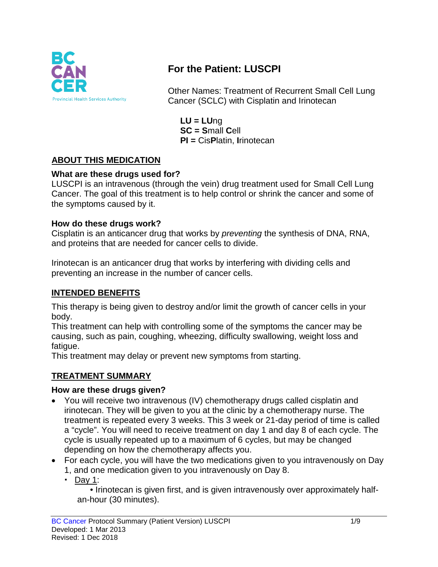

# **For the Patient: LUSCPI**

Other Names: Treatment of Recurrent Small Cell Lung Cancer (SCLC) with Cisplatin and Irinotecan

**LU = LU**ng **SC = S**mall **C**ell **PI =** Cis**P**latin, **I**rinotecan

# **ABOUT THIS MEDICATION**

### **What are these drugs used for?**

LUSCPI is an intravenous (through the vein) drug treatment used for Small Cell Lung Cancer. The goal of this treatment is to help control or shrink the cancer and some of the symptoms caused by it.

### **How do these drugs work?**

Cisplatin is an anticancer drug that works by *preventing* the synthesis of DNA, RNA, and proteins that are needed for cancer cells to divide.

Irinotecan is an anticancer drug that works by interfering with dividing cells and preventing an increase in the number of cancer cells.

### **INTENDED BENEFITS**

This therapy is being given to destroy and/or limit the growth of cancer cells in your body.

This treatment can help with controlling some of the symptoms the cancer may be causing, such as pain, coughing, wheezing, difficulty swallowing, weight loss and fatigue.

This treatment may delay or prevent new symptoms from starting.

# **TREATMENT SUMMARY**

### **How are these drugs given?**

- You will receive two intravenous (IV) chemotherapy drugs called cisplatin and irinotecan. They will be given to you at the clinic by a chemotherapy nurse. The treatment is repeated every 3 weeks. This 3 week or 21-day period of time is called a "cycle". You will need to receive treatment on day 1 and day 8 of each cycle. The cycle is usually repeated up to a maximum of 6 cycles, but may be changed depending on how the chemotherapy affects you.
- For each cycle, you will have the two medications given to you intravenously on Day 1, and one medication given to you intravenously on Day 8.
	- Day 1:

• Irinotecan is given first, and is given intravenously over approximately halfan-hour (30 minutes).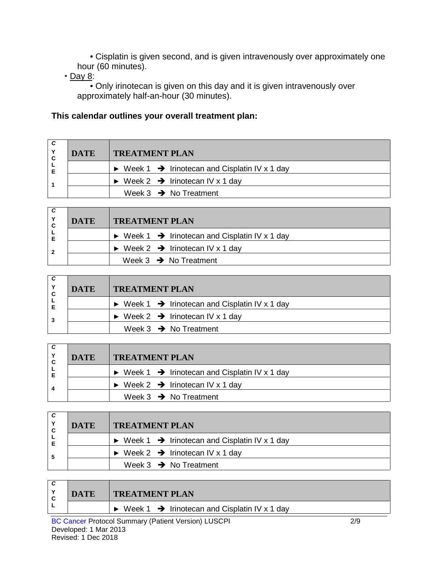• Cisplatin is given second, and is given intravenously over approximately one hour (60 minutes).

**Day 8:** 

• Only irinotecan is given on this day and it is given intravenously over approximately half-an-hour (30 minutes).

### **This calendar outlines your overall treatment plan:**

| C | <b>DATE</b> | <b>TREATMENT PLAN</b>                                                     |  |
|---|-------------|---------------------------------------------------------------------------|--|
|   |             | $\triangleright$ Week 1 $\rightarrow$ Irinotecan and Cisplatin IV x 1 day |  |
|   |             | $\triangleright$ Week 2 $\rightarrow$ Irinotecan IV x 1 day               |  |
|   |             | Week $3 \rightarrow$ No Treatment                                         |  |

| ΙC<br>C | <b>DATE</b> | <b>TREATMENT PLAN</b>                                                     |  |  |
|---------|-------------|---------------------------------------------------------------------------|--|--|
|         |             | $\triangleright$ Week 1 $\rightarrow$ Irinotecan and Cisplatin IV x 1 day |  |  |
| . 2     |             | $\triangleright$ Week 2 $\rightarrow$ Irinotecan IV x 1 day               |  |  |
|         |             | Week $3 \rightarrow$ No Treatment                                         |  |  |

| C | <b>DATE</b> | <b>TREATMENT PLAN</b>                                                     |  |  |  |
|---|-------------|---------------------------------------------------------------------------|--|--|--|
|   |             | $\triangleright$ Week 1 $\rightarrow$ Irinotecan and Cisplatin IV x 1 day |  |  |  |
|   |             | $\triangleright$ Week 2 $\rightarrow$ Irinotecan IV x 1 day               |  |  |  |
|   |             | Week $3 \rightarrow$ No Treatment                                         |  |  |  |

| . C<br><b>DATE</b><br><b>TREATMENT PLAN</b><br>C |                                                                           |  |
|--------------------------------------------------|---------------------------------------------------------------------------|--|
|                                                  | $\triangleright$ Week 1 $\rightarrow$ Irinotecan and Cisplatin IV x 1 day |  |
|                                                  | $\triangleright$ Week 2 $\rightarrow$ Irinotecan IV x 1 day               |  |
|                                                  | Week $3 \rightarrow$ No Treatment                                         |  |
|                                                  |                                                                           |  |

| C<br><b>DATE</b><br><b>TREATMENT PLAN</b><br>C |  |                                                                           |
|------------------------------------------------|--|---------------------------------------------------------------------------|
| Е                                              |  | $\triangleright$ Week 1 $\rightarrow$ Irinotecan and Cisplatin IV x 1 day |
|                                                |  | $\triangleright$ Week 2 $\rightarrow$ Irinotecan IV x 1 day               |
|                                                |  | Week $3 \rightarrow$ No Treatment                                         |

| $\checkmark$<br><b>C</b> | <b>DATE</b> | <b>TREATMENT PLAN</b>                                    |      |
|--------------------------|-------------|----------------------------------------------------------|------|
|                          |             | Week 1 $\rightarrow$ Irinotecan and Cisplatin IV x 1 day |      |
|                          | _ _ _ _     | .                                                        | $ -$ |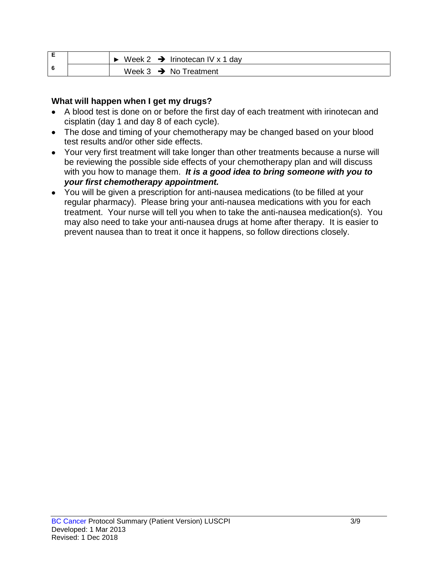| E | Week 2 $\rightarrow$ Irinotecan IV x 1 day |
|---|--------------------------------------------|
| 6 | Week $3 \rightarrow$ No Treatment          |

#### **What will happen when I get my drugs?**

- A blood test is done on or before the first day of each treatment with irinotecan and cisplatin (day 1 and day 8 of each cycle).
- The dose and timing of your chemotherapy may be changed based on your blood test results and/or other side effects.
- Your very first treatment will take longer than other treatments because a nurse will be reviewing the possible side effects of your chemotherapy plan and will discuss with you how to manage them. *It is a good idea to bring someone with you to your first chemotherapy appointment.*
- You will be given a prescription for anti-nausea medications (to be filled at your regular pharmacy). Please bring your anti-nausea medications with you for each treatment. Your nurse will tell you when to take the anti-nausea medication(s). You may also need to take your anti-nausea drugs at home after therapy. It is easier to prevent nausea than to treat it once it happens, so follow directions closely.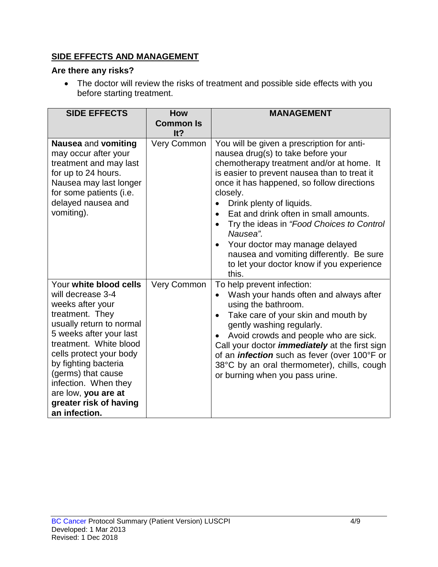# **SIDE EFFECTS AND MANAGEMENT**

### **Are there any risks?**

• The doctor will review the risks of treatment and possible side effects with you before starting treatment.

| <b>SIDE EFFECTS</b>                                                                                                                                                                                                                                                                                                                    | <b>How</b><br><b>Common Is</b><br>It? | <b>MANAGEMENT</b>                                                                                                                                                                                                                                                                                                                                                                                                                                                                                         |
|----------------------------------------------------------------------------------------------------------------------------------------------------------------------------------------------------------------------------------------------------------------------------------------------------------------------------------------|---------------------------------------|-----------------------------------------------------------------------------------------------------------------------------------------------------------------------------------------------------------------------------------------------------------------------------------------------------------------------------------------------------------------------------------------------------------------------------------------------------------------------------------------------------------|
| Nausea and vomiting<br>may occur after your<br>treatment and may last<br>for up to 24 hours.<br>Nausea may last longer<br>for some patients (i.e.<br>delayed nausea and<br>vomiting).                                                                                                                                                  | Very Common                           | You will be given a prescription for anti-<br>nausea drug(s) to take before your<br>chemotherapy treatment and/or at home. It<br>is easier to prevent nausea than to treat it<br>once it has happened, so follow directions<br>closely.<br>Drink plenty of liquids.<br>Eat and drink often in small amounts.<br>Try the ideas in "Food Choices to Control<br>Nausea".<br>Your doctor may manage delayed<br>nausea and vomiting differently. Be sure<br>to let your doctor know if you experience<br>this. |
| Your white blood cells<br>will decrease 3-4<br>weeks after your<br>treatment. They<br>usually return to normal<br>5 weeks after your last<br>treatment. White blood<br>cells protect your body<br>by fighting bacteria<br>(germs) that cause<br>infection. When they<br>are low, you are at<br>greater risk of having<br>an infection. | Very Common                           | To help prevent infection:<br>Wash your hands often and always after<br>using the bathroom.<br>Take care of your skin and mouth by<br>gently washing regularly.<br>Avoid crowds and people who are sick.<br>Call your doctor <i>immediately</i> at the first sign<br>of an <i>infection</i> such as fever (over 100°F or<br>38°C by an oral thermometer), chills, cough<br>or burning when you pass urine.                                                                                                |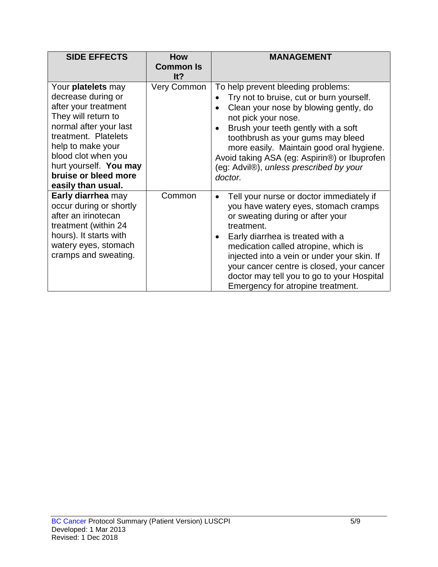| <b>SIDE EFFECTS</b>                                                                                                                                                                                                                                           | How<br><b>Common Is</b><br>It? | <b>MANAGEMENT</b>                                                                                                                                                                                                                                                                                                                                                                                          |
|---------------------------------------------------------------------------------------------------------------------------------------------------------------------------------------------------------------------------------------------------------------|--------------------------------|------------------------------------------------------------------------------------------------------------------------------------------------------------------------------------------------------------------------------------------------------------------------------------------------------------------------------------------------------------------------------------------------------------|
| Your platelets may<br>decrease during or<br>after your treatment<br>They will return to<br>normal after your last<br>treatment. Platelets<br>help to make your<br>blood clot when you<br>hurt yourself. You may<br>bruise or bleed more<br>easily than usual. | <b>Very Common</b>             | To help prevent bleeding problems:<br>Try not to bruise, cut or burn yourself.<br>Clean your nose by blowing gently, do<br>not pick your nose.<br>Brush your teeth gently with a soft<br>$\bullet$<br>toothbrush as your gums may bleed<br>more easily. Maintain good oral hygiene.<br>Avoid taking ASA (eg: Aspirin®) or Ibuprofen<br>(eg: Advil®), unless prescribed by your<br>doctor.                  |
| Early diarrhea may<br>occur during or shortly<br>after an irinotecan<br>treatment (within 24<br>hours). It starts with<br>watery eyes, stomach<br>cramps and sweating.                                                                                        | Common                         | Tell your nurse or doctor immediately if<br>$\bullet$<br>you have watery eyes, stomach cramps<br>or sweating during or after your<br>treatment.<br>Early diarrhea is treated with a<br>medication called atropine, which is<br>injected into a vein or under your skin. If<br>your cancer centre is closed, your cancer<br>doctor may tell you to go to your Hospital<br>Emergency for atropine treatment. |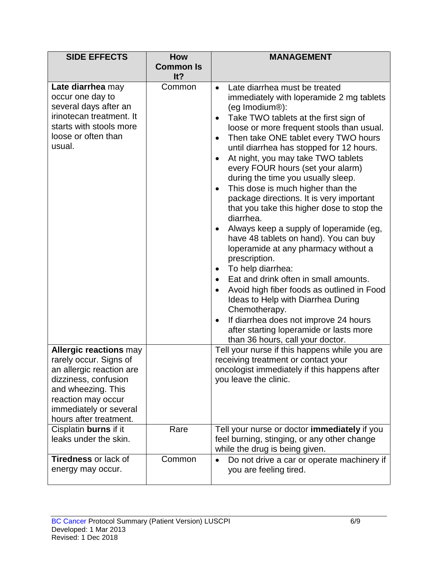| <b>SIDE EFFECTS</b>                                                                                                                                                                                         | <b>How</b>              | <b>MANAGEMENT</b>                                                                                                                                                                                                                                                                                                                                                                                                                                                                                                                                                                                                                                                                                                                                                                                                                                                                                                                                                                                                                           |  |
|-------------------------------------------------------------------------------------------------------------------------------------------------------------------------------------------------------------|-------------------------|---------------------------------------------------------------------------------------------------------------------------------------------------------------------------------------------------------------------------------------------------------------------------------------------------------------------------------------------------------------------------------------------------------------------------------------------------------------------------------------------------------------------------------------------------------------------------------------------------------------------------------------------------------------------------------------------------------------------------------------------------------------------------------------------------------------------------------------------------------------------------------------------------------------------------------------------------------------------------------------------------------------------------------------------|--|
|                                                                                                                                                                                                             | <b>Common Is</b><br>It? |                                                                                                                                                                                                                                                                                                                                                                                                                                                                                                                                                                                                                                                                                                                                                                                                                                                                                                                                                                                                                                             |  |
| Late diarrhea may<br>occur one day to<br>several days after an<br>irinotecan treatment. It<br>starts with stools more<br>loose or often than<br>usual.                                                      | Common                  | Late diarrhea must be treated<br>$\bullet$<br>immediately with loperamide 2 mg tablets<br>(eg Imodium <sup>®</sup> ):<br>Take TWO tablets at the first sign of<br>loose or more frequent stools than usual.<br>Then take ONE tablet every TWO hours<br>$\bullet$<br>until diarrhea has stopped for 12 hours.<br>At night, you may take TWO tablets<br>every FOUR hours (set your alarm)<br>during the time you usually sleep.<br>This dose is much higher than the<br>$\bullet$<br>package directions. It is very important<br>that you take this higher dose to stop the<br>diarrhea.<br>Always keep a supply of loperamide (eg,<br>have 48 tablets on hand). You can buy<br>loperamide at any pharmacy without a<br>prescription.<br>To help diarrhea:<br>Eat and drink often in small amounts.<br>$\bullet$<br>Avoid high fiber foods as outlined in Food<br>Ideas to Help with Diarrhea During<br>Chemotherapy.<br>If diarrhea does not improve 24 hours<br>after starting loperamide or lasts more<br>than 36 hours, call your doctor. |  |
| <b>Allergic reactions may</b><br>rarely occur. Signs of<br>an allergic reaction are<br>dizziness, confusion<br>and wheezing. This<br>reaction may occur<br>immediately or several<br>hours after treatment. |                         | Tell your nurse if this happens while you are<br>receiving treatment or contact your<br>oncologist immediately if this happens after<br>you leave the clinic.                                                                                                                                                                                                                                                                                                                                                                                                                                                                                                                                                                                                                                                                                                                                                                                                                                                                               |  |
| Cisplatin burns if it<br>leaks under the skin.                                                                                                                                                              | Rare                    | Tell your nurse or doctor immediately if you<br>feel burning, stinging, or any other change<br>while the drug is being given.                                                                                                                                                                                                                                                                                                                                                                                                                                                                                                                                                                                                                                                                                                                                                                                                                                                                                                               |  |
| <b>Tiredness or lack of</b><br>energy may occur.                                                                                                                                                            | Common                  | Do not drive a car or operate machinery if<br>$\bullet$<br>you are feeling tired.                                                                                                                                                                                                                                                                                                                                                                                                                                                                                                                                                                                                                                                                                                                                                                                                                                                                                                                                                           |  |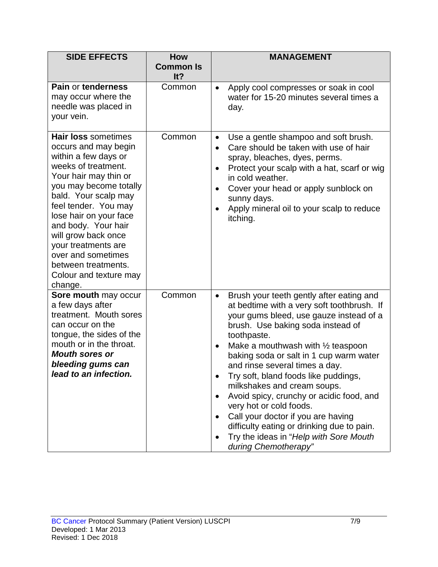| <b>SIDE EFFECTS</b>                                                                                                                                                                                                                                                                                                                                                            | <b>How</b><br><b>Common Is</b><br>It? | <b>MANAGEMENT</b>                                                                                                                                                                                                                                                                                                                                                                                                                                                                                                                                                                                                                                |
|--------------------------------------------------------------------------------------------------------------------------------------------------------------------------------------------------------------------------------------------------------------------------------------------------------------------------------------------------------------------------------|---------------------------------------|--------------------------------------------------------------------------------------------------------------------------------------------------------------------------------------------------------------------------------------------------------------------------------------------------------------------------------------------------------------------------------------------------------------------------------------------------------------------------------------------------------------------------------------------------------------------------------------------------------------------------------------------------|
| Pain or tenderness<br>may occur where the<br>needle was placed in<br>your vein.                                                                                                                                                                                                                                                                                                | Common                                | Apply cool compresses or soak in cool<br>$\bullet$<br>water for 15-20 minutes several times a<br>day.                                                                                                                                                                                                                                                                                                                                                                                                                                                                                                                                            |
| Hair loss sometimes<br>occurs and may begin<br>within a few days or<br>weeks of treatment.<br>Your hair may thin or<br>you may become totally<br>bald. Your scalp may<br>feel tender. You may<br>lose hair on your face<br>and body. Your hair<br>will grow back once<br>your treatments are<br>over and sometimes<br>between treatments.<br>Colour and texture may<br>change. | Common                                | Use a gentle shampoo and soft brush.<br>$\bullet$<br>Care should be taken with use of hair<br>$\bullet$<br>spray, bleaches, dyes, perms.<br>Protect your scalp with a hat, scarf or wig<br>$\bullet$<br>in cold weather.<br>Cover your head or apply sunblock on<br>sunny days.<br>Apply mineral oil to your scalp to reduce<br>itching.                                                                                                                                                                                                                                                                                                         |
| Sore mouth may occur<br>a few days after<br>treatment. Mouth sores<br>can occur on the<br>tongue, the sides of the<br>mouth or in the throat.<br><b>Mouth sores or</b><br>bleeding gums can<br>lead to an infection.                                                                                                                                                           | Common                                | Brush your teeth gently after eating and<br>$\bullet$<br>at bedtime with a very soft toothbrush. If<br>your gums bleed, use gauze instead of a<br>brush. Use baking soda instead of<br>toothpaste.<br>Make a mouthwash with $\frac{1}{2}$ teaspoon<br>$\bullet$<br>baking soda or salt in 1 cup warm water<br>and rinse several times a day.<br>Try soft, bland foods like puddings,<br>milkshakes and cream soups.<br>Avoid spicy, crunchy or acidic food, and<br>very hot or cold foods.<br>Call your doctor if you are having<br>difficulty eating or drinking due to pain.<br>Try the ideas in "Help with Sore Mouth<br>during Chemotherapy" |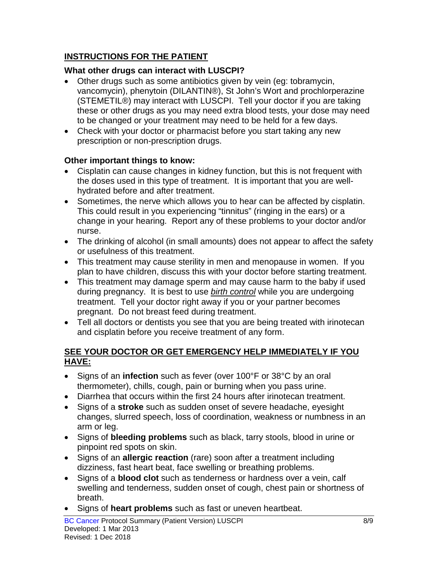### **INSTRUCTIONS FOR THE PATIENT**

### **What other drugs can interact with LUSCPI?**

- Other drugs such as some antibiotics given by vein (eg: tobramycin, vancomycin), phenytoin (DILANTIN®), St John's Wort and prochlorperazine (STEMETIL®) may interact with LUSCPI. Tell your doctor if you are taking these or other drugs as you may need extra blood tests, your dose may need to be changed or your treatment may need to be held for a few days.
- Check with your doctor or pharmacist before you start taking any new prescription or non-prescription drugs.

### **Other important things to know:**

- Cisplatin can cause changes in kidney function, but this is not frequent with the doses used in this type of treatment. It is important that you are wellhydrated before and after treatment.
- Sometimes, the nerve which allows you to hear can be affected by cisplatin. This could result in you experiencing "tinnitus" (ringing in the ears) or a change in your hearing. Report any of these problems to your doctor and/or nurse.
- The drinking of alcohol (in small amounts) does not appear to affect the safety or usefulness of this treatment.
- This treatment may cause sterility in men and menopause in women. If you plan to have children, discuss this with your doctor before starting treatment.
- This treatment may damage sperm and may cause harm to the baby if used during pregnancy. It is best to use *birth control* while you are undergoing treatment. Tell your doctor right away if you or your partner becomes pregnant. Do not breast feed during treatment.
- Tell all doctors or dentists you see that you are being treated with irinotecan and cisplatin before you receive treatment of any form.

#### **SEE YOUR DOCTOR OR GET EMERGENCY HELP IMMEDIATELY IF YOU HAVE:**

- Signs of an **infection** such as fever (over 100°F or 38°C by an oral thermometer), chills, cough, pain or burning when you pass urine.
- Diarrhea that occurs within the first 24 hours after irinotecan treatment.
- Signs of a **stroke** such as sudden onset of severe headache, eyesight changes, slurred speech, loss of coordination, weakness or numbness in an arm or leg.
- Signs of **bleeding problems** such as black, tarry stools, blood in urine or pinpoint red spots on skin.
- Signs of an **allergic reaction** (rare) soon after a treatment including dizziness, fast heart beat, face swelling or breathing problems.
- Signs of a **blood clot** such as tenderness or hardness over a vein, calf swelling and tenderness, sudden onset of cough, chest pain or shortness of breath.
- Signs of **heart problems** such as fast or uneven heartbeat.